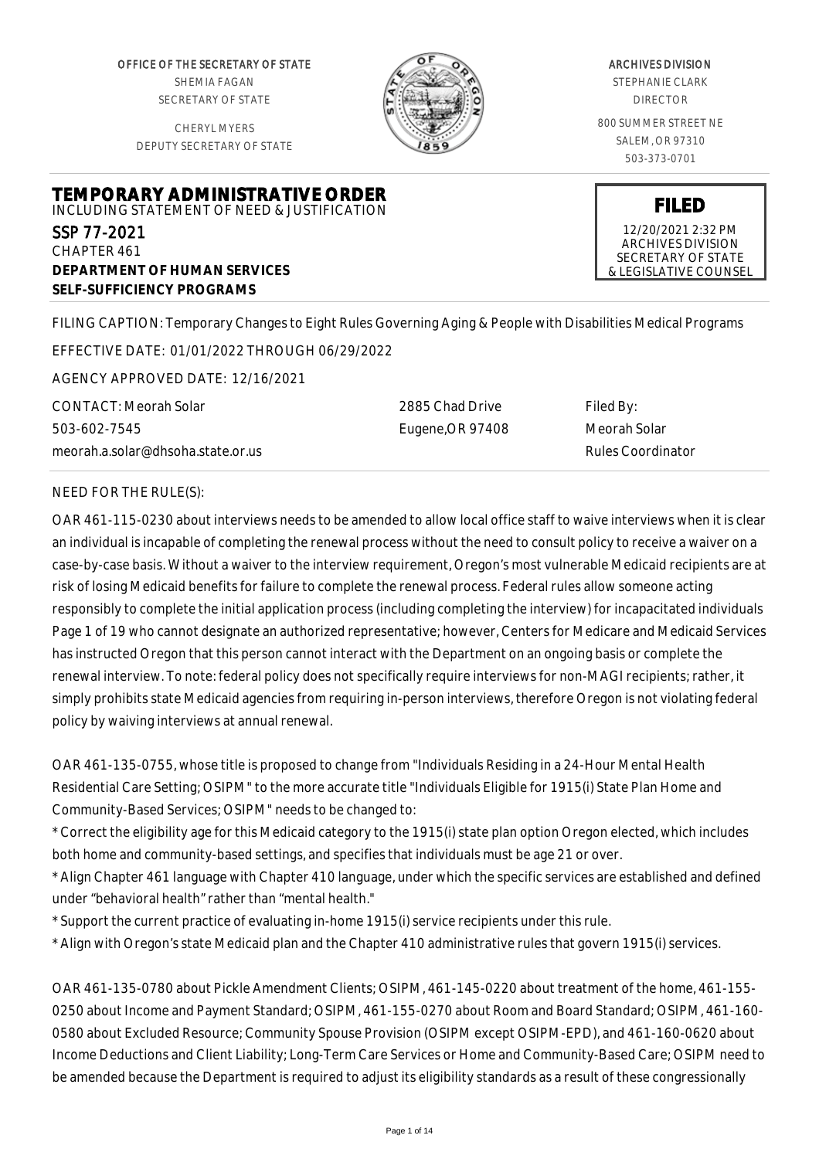OFFICE OF THE SECRETARY OF STATE SHEMIA FAGAN SECRETARY OF STATE

CHERYL MYERS DEPUTY SECRETARY OF STATE



### ARCHIVES DIVISION

STEPHANIE CLARK DIRECTOR

800 SUMMER STREET NE SALEM, OR 97310 503-373-0701

**FILED** 12/20/2021 2:32 PM ARCHIVES DIVISION SECRETARY OF STATE & LEGISLATIVE COUNSEL

**TEMPORARY ADMINISTRATIVE ORDER** INCLUDING STATEMENT OF NEED & JUSTIFICATION SSP 77-2021 CHAPTER 461 **DEPARTMENT OF HUMAN SERVICES SELF-SUFFICIENCY PROGRAMS**

FILING CAPTION: Temporary Changes to Eight Rules Governing Aging & People with Disabilities Medical Programs

EFFECTIVE DATE: 01/01/2022 THROUGH 06/29/2022

AGENCY APPROVED DATE: 12/16/2021

CONTACT: Meorah Solar 503-602-7545 meorah.a.solar@dhsoha.state.or.us 2885 Chad Drive Eugene,OR 97408 Filed By: Meorah Solar Rules Coordinator

# NEED FOR THE RULE(S):

OAR 461-115-0230 about interviews needs to be amended to allow local office staff to waive interviews when it is clear an individual is incapable of completing the renewal process without the need to consult policy to receive a waiver on a case-by-case basis. Without a waiver to the interview requirement, Oregon's most vulnerable Medicaid recipients are at risk of losing Medicaid benefits for failure to complete the renewal process. Federal rules allow someone acting responsibly to complete the initial application process (including completing the interview) for incapacitated individuals Page 1 of 19 who cannot designate an authorized representative; however, Centers for Medicare and Medicaid Services has instructed Oregon that this person cannot interact with the Department on an ongoing basis or complete the renewal interview. To note: federal policy does not specifically require interviews for non-MAGI recipients; rather, it simply prohibits state Medicaid agencies from requiring in-person interviews, therefore Oregon is not violating federal policy by waiving interviews at annual renewal.

OAR 461-135-0755, whose title is proposed to change from "Individuals Residing in a 24-Hour Mental Health Residential Care Setting; OSIPM" to the more accurate title "Individuals Eligible for 1915(i) State Plan Home and Community-Based Services; OSIPM" needs to be changed to:

\* Correct the eligibility age for this Medicaid category to the 1915(i) state plan option Oregon elected, which includes both home and community-based settings, and specifies that individuals must be age 21 or over.

\* Align Chapter 461 language with Chapter 410 language, under which the specific services are established and defined under "behavioral health" rather than "mental health."

\* Support the current practice of evaluating in-home 1915(i) service recipients under this rule.

\* Align with Oregon's state Medicaid plan and the Chapter 410 administrative rules that govern 1915(i) services.

OAR 461-135-0780 about Pickle Amendment Clients; OSIPM, 461-145-0220 about treatment of the home, 461-155- 0250 about Income and Payment Standard; OSIPM, 461-155-0270 about Room and Board Standard; OSIPM, 461-160- 0580 about Excluded Resource; Community Spouse Provision (OSIPM except OSIPM-EPD), and 461-160-0620 about Income Deductions and Client Liability; Long-Term Care Services or Home and Community-Based Care; OSIPM need to be amended because the Department is required to adjust its eligibility standards as a result of these congressionally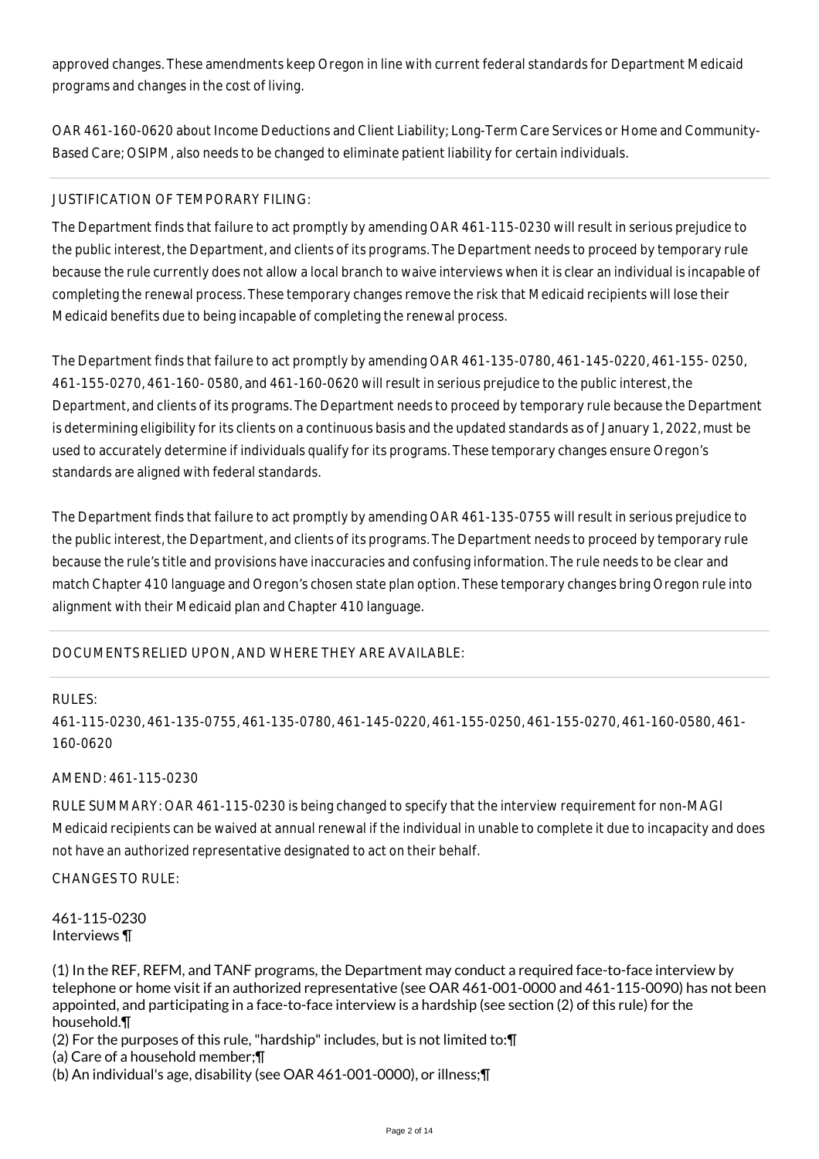approved changes. These amendments keep Oregon in line with current federal standards for Department Medicaid programs and changes in the cost of living.

OAR 461-160-0620 about Income Deductions and Client Liability; Long-Term Care Services or Home and Community-Based Care; OSIPM, also needs to be changed to eliminate patient liability for certain individuals.

# JUSTIFICATION OF TEMPORARY FILING:

The Department finds that failure to act promptly by amending OAR 461-115-0230 will result in serious prejudice to the public interest, the Department, and clients of its programs. The Department needs to proceed by temporary rule because the rule currently does not allow a local branch to waive interviews when it is clear an individual is incapable of completing the renewal process. These temporary changes remove the risk that Medicaid recipients will lose their Medicaid benefits due to being incapable of completing the renewal process.

The Department finds that failure to act promptly by amending OAR 461-135-0780, 461-145-0220, 461-155- 0250, 461-155-0270, 461-160- 0580, and 461-160-0620 will result in serious prejudice to the public interest, the Department, and clients of its programs. The Department needs to proceed by temporary rule because the Department is determining eligibility for its clients on a continuous basis and the updated standards as of January 1, 2022, must be used to accurately determine if individuals qualify for its programs. These temporary changes ensure Oregon's standards are aligned with federal standards.

The Department finds that failure to act promptly by amending OAR 461-135-0755 will result in serious prejudice to the public interest, the Department, and clients of its programs. The Department needs to proceed by temporary rule because the rule's title and provisions have inaccuracies and confusing information. The rule needs to be clear and match Chapter 410 language and Oregon's chosen state plan option. These temporary changes bring Oregon rule into alignment with their Medicaid plan and Chapter 410 language.

# DOCUMENTS RELIED UPON, AND WHERE THEY ARE AVAILABLE:

#### RULES:

461-115-0230, 461-135-0755, 461-135-0780, 461-145-0220, 461-155-0250, 461-155-0270, 461-160-0580, 461- 160-0620

# AMEND: 461-115-0230

RULE SUMMARY: OAR 461-115-0230 is being changed to specify that the interview requirement for non-MAGI Medicaid recipients can be waived at annual renewal if the individual in unable to complete it due to incapacity and does not have an authorized representative designated to act on their behalf.

CHANGES TO RULE:

461-115-0230 Interviews ¶

(1) In the REF, REFM, and TANF programs, the Department may conduct a required face-to-face interview by telephone or home visit if an authorized representative (see OAR 461-001-0000 and 461-115-0090) has not been appointed, and participating in a face-to-face interview is a hardship (see section (2) of this rule) for the household.¶

(2) For the purposes of this rule, "hardship" includes, but is not limited to:¶

(a) Care of a household member;¶

(b) An individual's age, disability (see OAR 461-001-0000), or illness;¶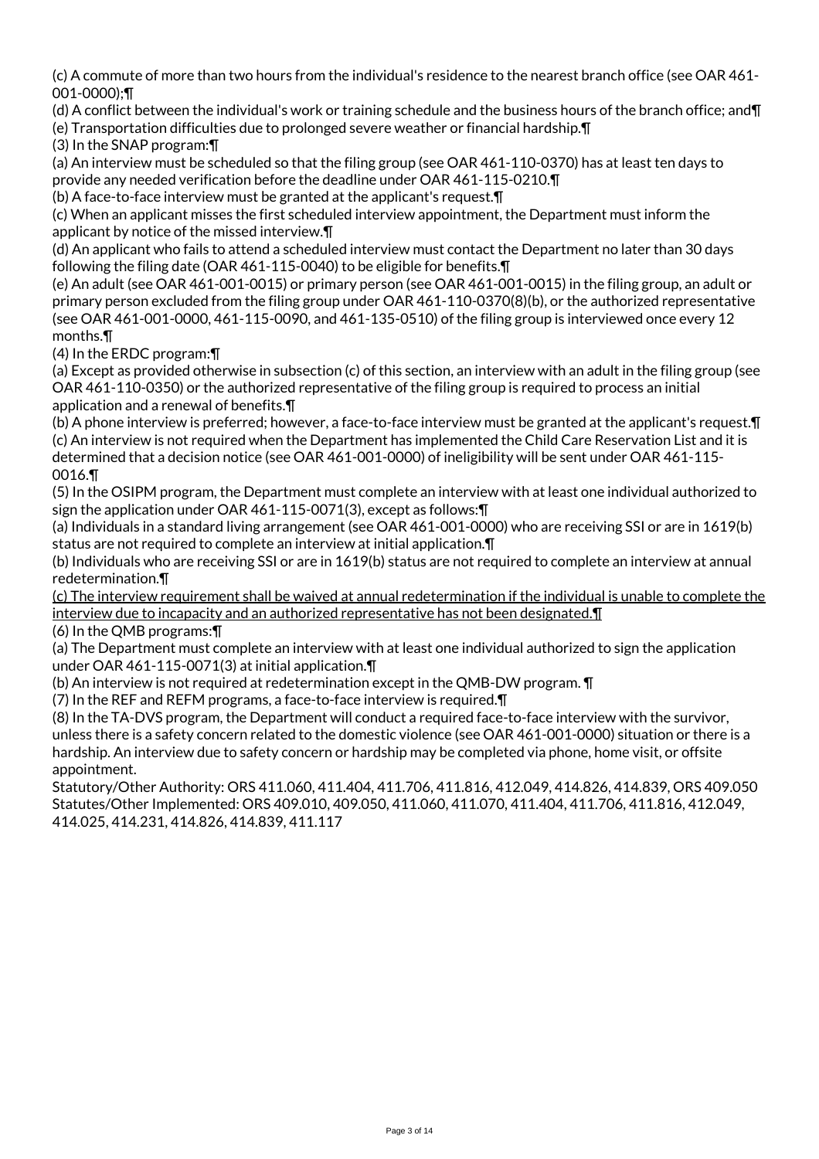(c) A commute of more than two hours from the individual's residence to the nearest branch office (see OAR 461- 001-0000);¶

(d) A conflict between the individual's work or training schedule and the business hours of the branch office; and¶ (e) Transportation difficulties due to prolonged severe weather or financial hardship.¶

(3) In the SNAP program:¶

(a) An interview must be scheduled so that the filing group (see OAR 461-110-0370) has at least ten days to provide any needed verification before the deadline under OAR 461-115-0210.¶

(b) A face-to-face interview must be granted at the applicant's request.¶

(c) When an applicant misses the first scheduled interview appointment, the Department must inform the applicant by notice of the missed interview.¶

(d) An applicant who fails to attend a scheduled interview must contact the Department no later than 30 days following the filing date (OAR 461-115-0040) to be eligible for benefits.¶

(e) An adult (see OAR 461-001-0015) or primary person (see OAR 461-001-0015) in the filing group, an adult or primary person excluded from the filing group under OAR 461-110-0370(8)(b), or the authorized representative (see OAR 461-001-0000, 461-115-0090, and 461-135-0510) of the filing group is interviewed once every 12 months.¶

(4) In the ERDC program:¶

(a) Except as provided otherwise in subsection (c) of this section, an interview with an adult in the filing group (see OAR 461-110-0350) or the authorized representative of the filing group is required to process an initial application and a renewal of benefits.¶

(b) A phone interview is preferred; however, a face-to-face interview must be granted at the applicant's request.¶ (c) An interview is not required when the Department has implemented the Child Care Reservation List and it is determined that a decision notice (see OAR 461-001-0000) of ineligibility will be sent under OAR 461-115- 0016.¶

(5) In the OSIPM program, the Department must complete an interview with at least one individual authorized to sign the application under OAR 461-115-0071(3), except as follows:¶

(a) Individuals in a standard living arrangement (see OAR 461-001-0000) who are receiving SSI or are in 1619(b) status are not required to complete an interview at initial application.¶

(b) Individuals who are receiving SSI or are in 1619(b) status are not required to complete an interview at annual redetermination.¶

(c) The interview requirement shall be waived at annual redetermination if the individual is unable to complete the interview due to incapacity and an authorized representative has not been designated.¶

(6) In the QMB programs:¶

(a) The Department must complete an interview with at least one individual authorized to sign the application under OAR 461-115-0071(3) at initial application.¶

(b) An interview is not required at redetermination except in the QMB-DW program. ¶

(7) In the REF and REFM programs, a face-to-face interview is required.¶

(8) In the TA-DVS program, the Department will conduct a required face-to-face interview with the survivor, unless there is a safety concern related to the domestic violence (see OAR 461-001-0000) situation or there is a hardship. An interview due to safety concern or hardship may be completed via phone, home visit, or offsite appointment.

Statutory/Other Authority: ORS 411.060, 411.404, 411.706, 411.816, 412.049, 414.826, 414.839, ORS 409.050 Statutes/Other Implemented: ORS 409.010, 409.050, 411.060, 411.070, 411.404, 411.706, 411.816, 412.049, 414.025, 414.231, 414.826, 414.839, 411.117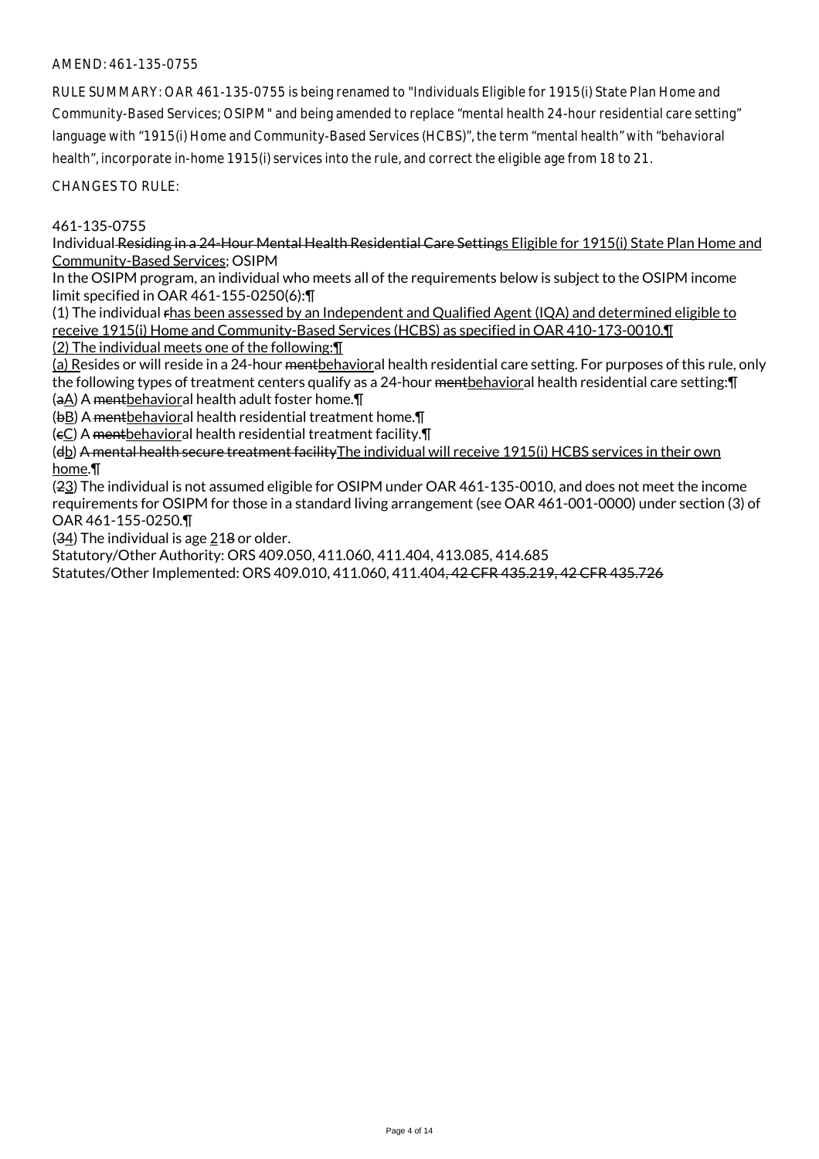# AMEND: 461-135-0755

RULE SUMMARY: OAR 461-135-0755 is being renamed to "Individuals Eligible for 1915(i) State Plan Home and Community-Based Services; OSIPM" and being amended to replace "mental health 24-hour residential care setting" language with "1915(i) Home and Community-Based Services (HCBS)", the term "mental health" with "behavioral health", incorporate in-home 1915(i) services into the rule, and correct the eligible age from 18 to 21.

CHANGES TO RULE:

### 461-135-0755

Individual Residing in a 24-Hour Mental Health Residential Care Settings Eligible for 1915(i) State Plan Home and Community-Based Services; OSIPM

In the OSIPM program, an individual who meets all of the requirements below is subject to the OSIPM income limit specified in OAR 461-155-0250(6):¶

(1) The individual rhas been assessed by an Independent and Qualified Agent (IQA) and determined eligible to receive 1915(i) Home and Community-Based Services (HCBS) as specified in OAR 410-173-0010.¶ (2) The individual meets one of the following:¶

(a) Resides or will reside in a 24-hour mentbehavioral health residential care setting. For purposes of this rule, only the following types of treatment centers qualify as a 24-hour mentbehavioral health residential care setting: [I

(aA) A mentbehavioral health adult foster home.¶

(bB) A mentbehavioral health residential treatment home.¶

(cC) A mentbehavioral health residential treatment facility.¶

(db) A mental health secure treatment facilityThe individual will receive 1915(i) HCBS services in their own home.¶

(23) The individual is not assumed eligible for OSIPM under OAR 461-135-0010, and does not meet the income requirements for OSIPM for those in a standard living arrangement (see OAR 461-001-0000) under section (3) of OAR 461-155-0250.¶

 $(34)$  The individual is age 218 or older.

Statutory/Other Authority: ORS 409.050, 411.060, 411.404, 413.085, 414.685

Statutes/Other Implemented: ORS 409.010, 411.060, 411.404, 42 CFR 435.219, 42 CFR 435.726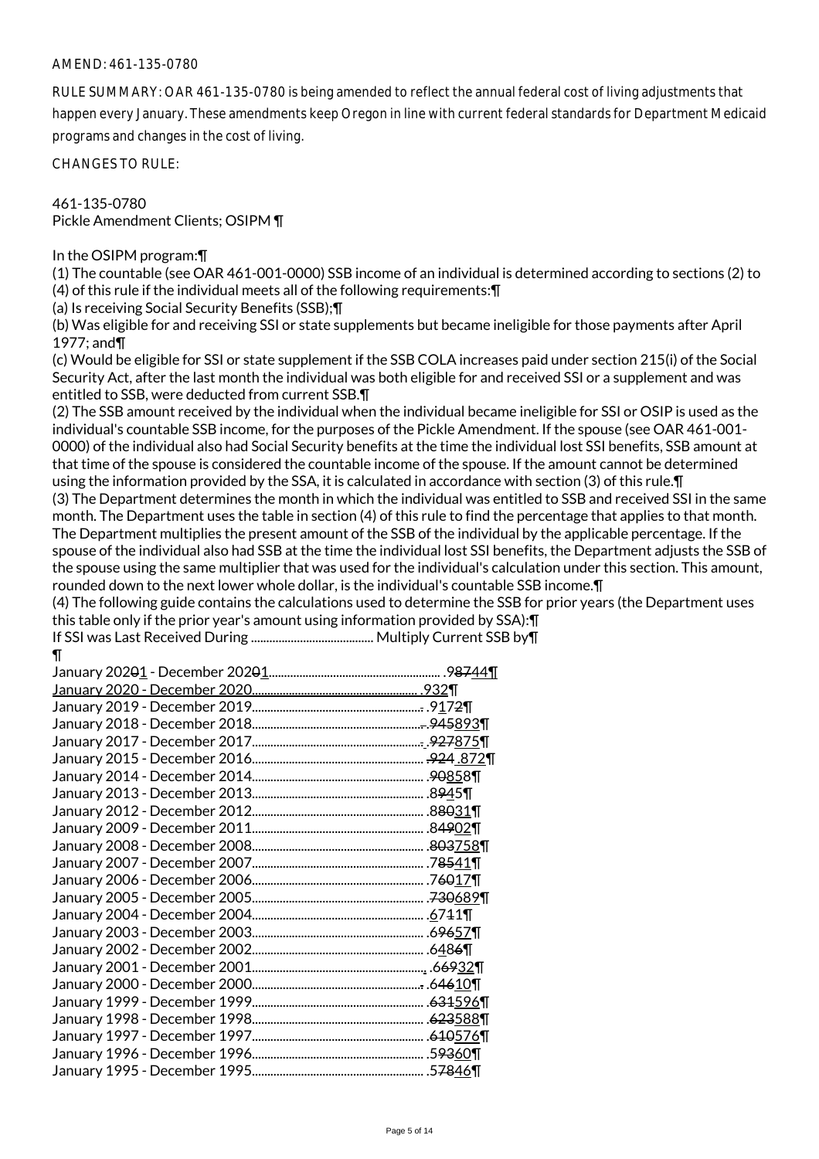### AMEND: 461-135-0780

RULE SUMMARY: OAR 461-135-0780 is being amended to reflect the annual federal cost of living adjustments that happen every January. These amendments keep Oregon in line with current federal standards for Department Medicaid programs and changes in the cost of living.

CHANGES TO RULE:

# 461-135-0780 Pickle Amendment Clients; OSIPM ¶

### In the OSIPM program:¶

(1) The countable (see OAR 461-001-0000) SSB income of an individual is determined according to sections (2) to (4) of this rule if the individual meets all of the following requirements:¶

(a) Is receiving Social Security Benefits (SSB);¶

(b) Was eligible for and receiving SSI or state supplements but became ineligible for those payments after April 1977; and¶

(c) Would be eligible for SSI or state supplement if the SSB COLA increases paid under section 215(i) of the Social Security Act, after the last month the individual was both eligible for and received SSI or a supplement and was entitled to SSB, were deducted from current SSB.¶

(2) The SSB amount received by the individual when the individual became ineligible for SSI or OSIP is used as the individual's countable SSB income, for the purposes of the Pickle Amendment. If the spouse (see OAR 461-001- 0000) of the individual also had Social Security benefits at the time the individual lost SSI benefits, SSB amount at that time of the spouse is considered the countable income of the spouse. If the amount cannot be determined using the information provided by the SSA, it is calculated in accordance with section (3) of this rule.¶ (3) The Department determines the month in which the individual was entitled to SSB and received SSI in the same month. The Department uses the table in section (4) of this rule to find the percentage that applies to that month. The Department multiplies the present amount of the SSB of the individual by the applicable percentage. If the spouse of the individual also had SSB at the time the individual lost SSI benefits, the Department adjusts the SSB of the spouse using the same multiplier that was used for the individual's calculation under this section. This amount,

rounded down to the next lower whole dollar, is the individual's countable SSB income.¶

(4) The following guide contains the calculations used to determine the SSB for prior years (the Department uses this table only if the prior year's amount using information provided by SSA):¶

```
If SSI was Last Received During ........................................ Multiply Current SSB by¶
¶
```

| .9 <del>87</del> 44¶ |
|----------------------|
|                      |
|                      |
|                      |
|                      |
|                      |
|                      |
|                      |
|                      |
|                      |
|                      |
|                      |
|                      |
|                      |
|                      |
|                      |
|                      |
|                      |
|                      |
|                      |
|                      |
|                      |
|                      |
|                      |
|                      |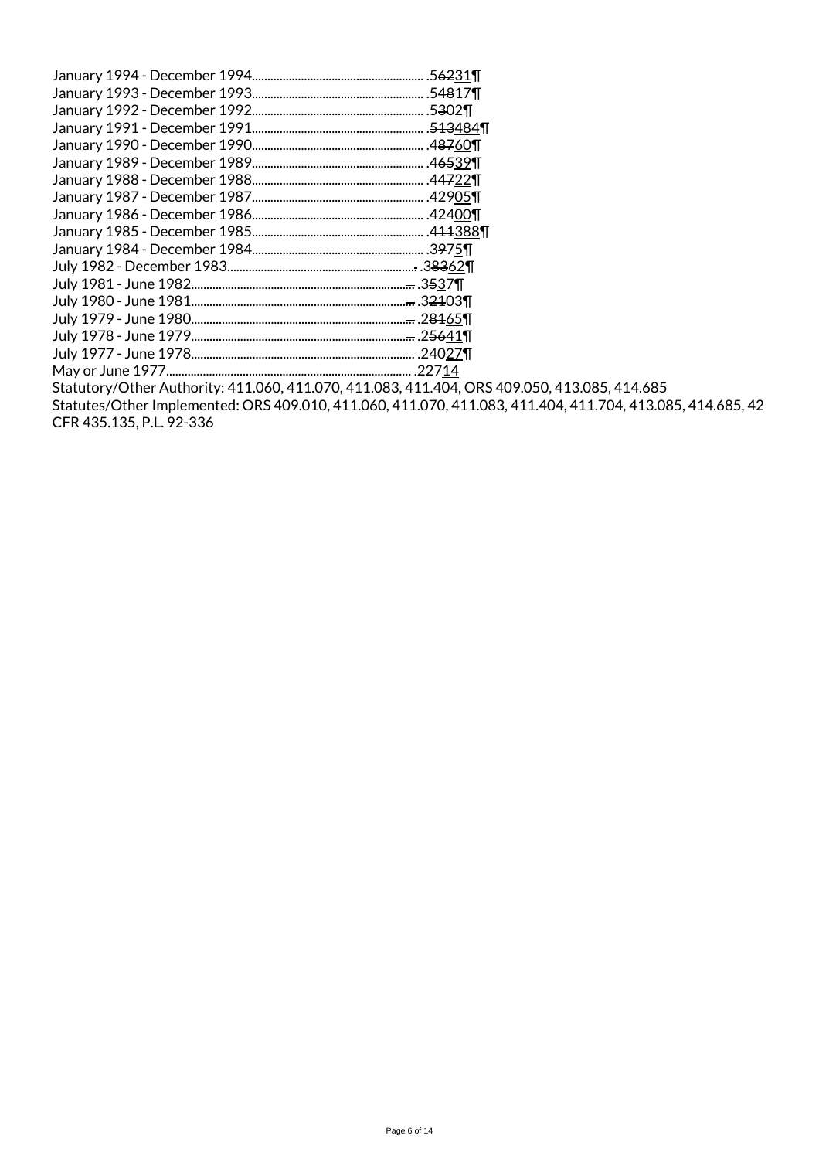| January 1994 - December 1994  | .5 <del>62</del> 31¶                |
|-------------------------------|-------------------------------------|
| January 1993 - December 1993  | .54817¶                             |
| January 1992 - December 1992. | .5302                               |
| January 1991 - December 1991. | . <del>513</del> 484¶               |
| January 1990 - December 1990  |                                     |
| January 1989 - December 1989  | .46539¶                             |
| January 1988 - December 1988  | $.44722$ ¶                          |
|                               | .4 <del>29</del> 05¶                |
| January 1986 - December 1986  | .4 <del>24</del> 00¶                |
| January 1985 - December 1985  |                                     |
|                               |                                     |
|                               | . <del>.</del> .3 <del>83</del> 62¶ |
|                               | <del></del> .35 <u>3</u> 7¶         |
|                               | . <del></del> .3 <del>21</del> 03¶  |
| July 1979 - June 1980         | . <del></del> .2 <del>81</del> 65¶  |
|                               | <del></del> .2 <del>56</del> 41¶    |
|                               | <del></del> .24 <del>0</del> 27¶    |
| May or June 1977              | . <del></del> .2 <del>27</del> 14   |
| 11122221112222                |                                     |

Statutory/Other Authority: 411.060, 411.070, 411.083, 411.404, ORS 409.050, 413.085, 414.685 Statutes/Other Implemented: ORS 409.010, 411.060, 411.070, 411.083, 411.404, 411.704, 413.085, 414.685, 42 CFR 435.135, P.L. 92-336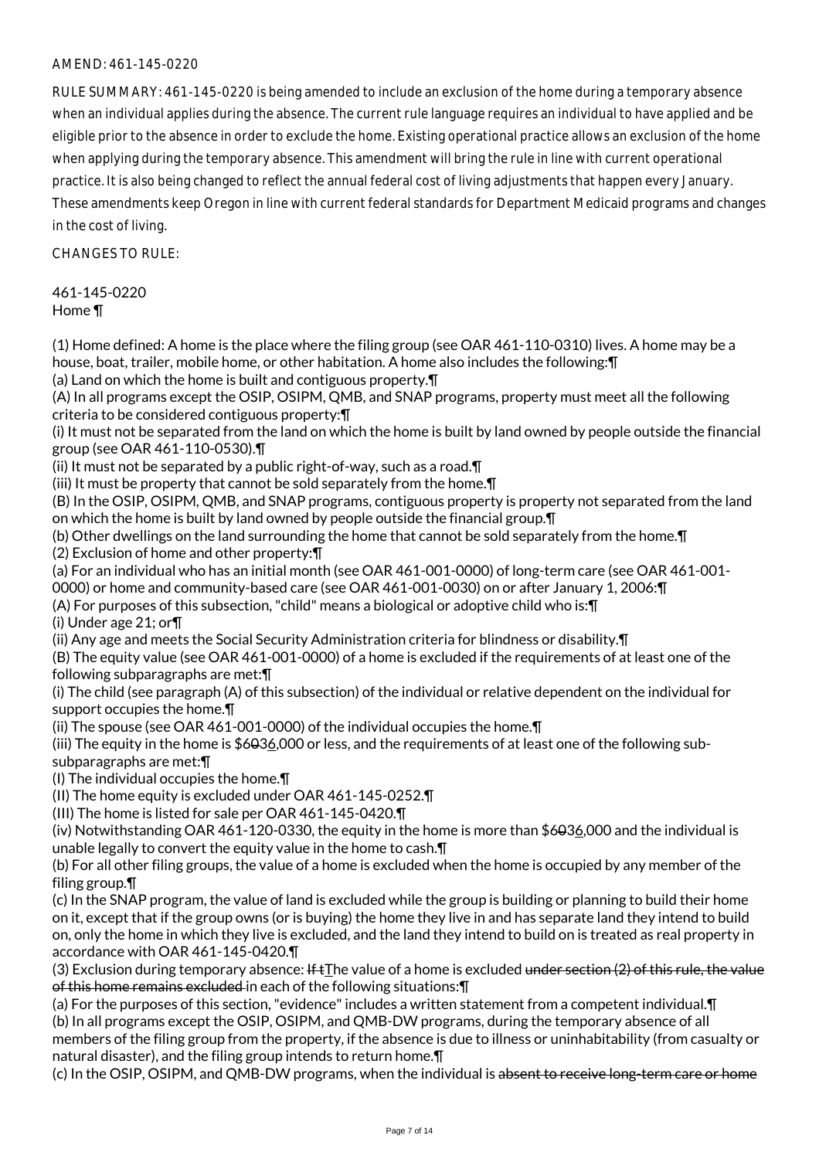# AMEND: 461-145-0220

RULE SUMMARY: 461-145-0220 is being amended to include an exclusion of the home during a temporary absence when an individual applies during the absence. The current rule language requires an individual to have applied and be eligible prior to the absence in order to exclude the home. Existing operational practice allows an exclusion of the home when applying during the temporary absence. This amendment will bring the rule in line with current operational practice. It is also being changed to reflect the annual federal cost of living adjustments that happen every January. These amendments keep Oregon in line with current federal standards for Department Medicaid programs and changes

in the cost of living.

 $CHANGESTORUIF$ 

461-145-0220 Home ¶

(1) Home defined: A home is the place where the filing group (see OAR 461-110-0310) lives. A home may be a house, boat, trailer, mobile home, or other habitation. A home also includes the following:¶ (a) Land on which the home is built and contiguous property.¶

(A) In all programs except the OSIP, OSIPM, QMB, and SNAP programs, property must meet all the following criteria to be considered contiguous property:¶

(i) It must not be separated from the land on which the home is built by land owned by people outside the financial group (see OAR 461-110-0530).¶

(ii) It must not be separated by a public right-of-way, such as a road.¶

(iii) It must be property that cannot be sold separately from the home.¶

(B) In the OSIP, OSIPM, QMB, and SNAP programs, contiguous property is property not separated from the land on which the home is built by land owned by people outside the financial group.¶

(b) Other dwellings on the land surrounding the home that cannot be sold separately from the home.¶ (2) Exclusion of home and other property:¶

(a) For an individual who has an initial month (see OAR 461-001-0000) of long-term care (see OAR 461-001-

0000) or home and community-based care (see OAR 461-001-0030) on or after January 1, 2006:¶

(A) For purposes of this subsection, "child" means a biological or adoptive child who is:¶

(i) Under age 21; or¶

(ii) Any age and meets the Social Security Administration criteria for blindness or disability.¶

(B) The equity value (see OAR 461-001-0000) of a home is excluded if the requirements of at least one of the following subparagraphs are met:¶

(i) The child (see paragraph (A) of this subsection) of the individual or relative dependent on the individual for support occupies the home.¶

(ii) The spouse (see OAR 461-001-0000) of the individual occupies the home.¶

(iii) The equity in the home is \$6036,000 or less, and the requirements of at least one of the following subsubparagraphs are met:¶

(I) The individual occupies the home.¶

(II) The home equity is excluded under OAR 461-145-0252.¶

(III) The home is listed for sale per OAR 461-145-0420.¶

(iv) Notwithstanding OAR 461-120-0330, the equity in the home is more than \$6036,000 and the individual is unable legally to convert the equity value in the home to cash.¶

(b) For all other filing groups, the value of a home is excluded when the home is occupied by any member of the filing group.¶

(c) In the SNAP program, the value of land is excluded while the group is building or planning to build their home on it, except that if the group owns (or is buying) the home they live in and has separate land they intend to build on, only the home in which they live is excluded, and the land they intend to build on is treated as real property in accordance with OAR 461-145-0420.¶

(3) Exclusion during temporary absence: If  $tI$ he value of a home is excluded under section (2) of this rule, the value of this home remains excluded in each of the following situations:¶

(a) For the purposes of this section, "evidence" includes a written statement from a competent individual.¶ (b) In all programs except the OSIP, OSIPM, and QMB-DW programs, during the temporary absence of all members of the filing group from the property, if the absence is due to illness or uninhabitability (from casualty or natural disaster), and the filing group intends to return home.¶

(c) In the OSIP, OSIPM, and QMB-DW programs, when the individual is absent to receive long-term care or home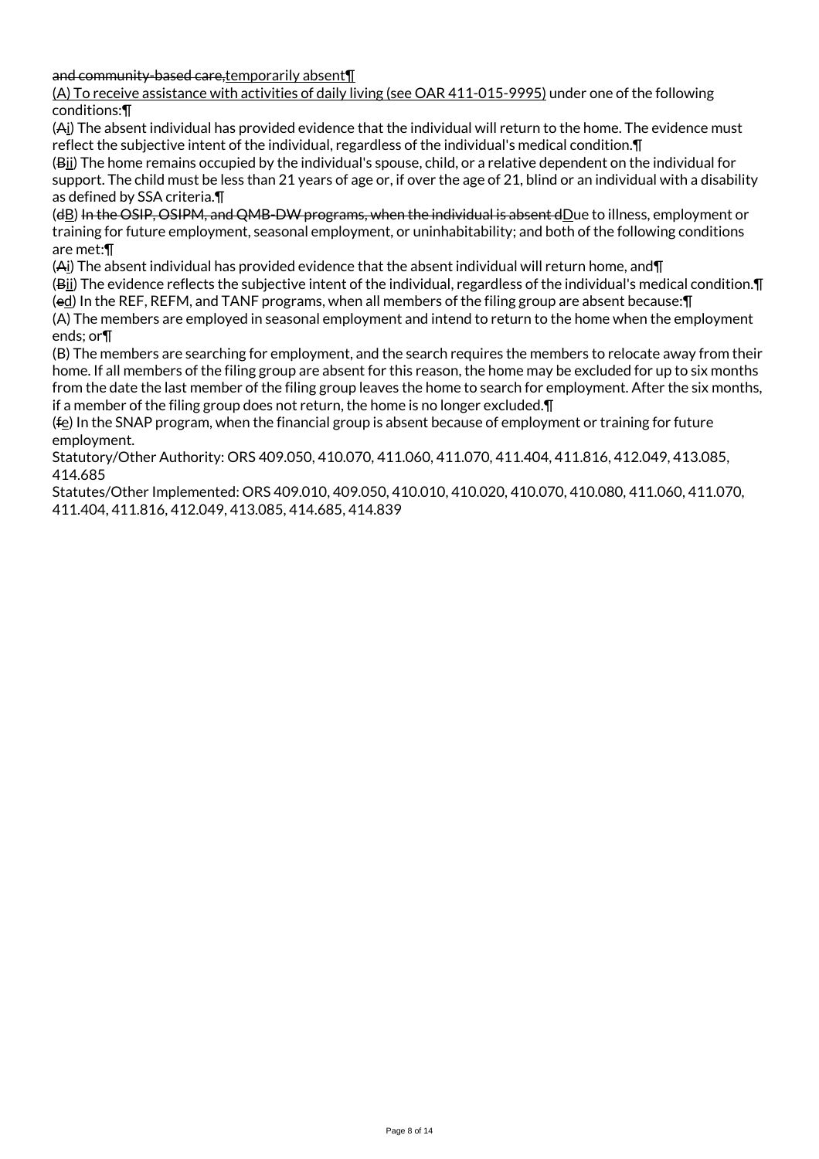and community-based care,temporarily absent¶

(A) To receive assistance with activities of daily living (see OAR 411-015-9995) under one of the following conditions:¶

(Ai) The absent individual has provided evidence that the individual will return to the home. The evidence must reflect the subjective intent of the individual, regardless of the individual's medical condition.¶

(Bii) The home remains occupied by the individual's spouse, child, or a relative dependent on the individual for support. The child must be less than 21 years of age or, if over the age of 21, blind or an individual with a disability as defined by SSA criteria.¶

(dB) In the OSIP, OSIPM, and QMB-DW programs, when the individual is absent dDue to illness, employment or training for future employment, seasonal employment, or uninhabitability; and both of the following conditions are met:¶

(Ai) The absent individual has provided evidence that the absent individual will return home, and¶

(Bii) The evidence reflects the subjective intent of the individual, regardless of the individual's medical condition.¶ (ed) In the REF, REFM, and TANF programs, when all members of the filing group are absent because:¶

(A) The members are employed in seasonal employment and intend to return to the home when the employment ends; or¶

(B) The members are searching for employment, and the search requires the members to relocate away from their home. If all members of the filing group are absent for this reason, the home may be excluded for up to six months from the date the last member of the filing group leaves the home to search for employment. After the six months, if a member of the filing group does not return, the home is no longer excluded.¶

 $(f<sub>e</sub>)$  In the SNAP program, when the financial group is absent because of employment or training for future employment.

Statutory/Other Authority: ORS 409.050, 410.070, 411.060, 411.070, 411.404, 411.816, 412.049, 413.085, 414.685

Statutes/Other Implemented: ORS 409.010, 409.050, 410.010, 410.020, 410.070, 410.080, 411.060, 411.070, 411.404, 411.816, 412.049, 413.085, 414.685, 414.839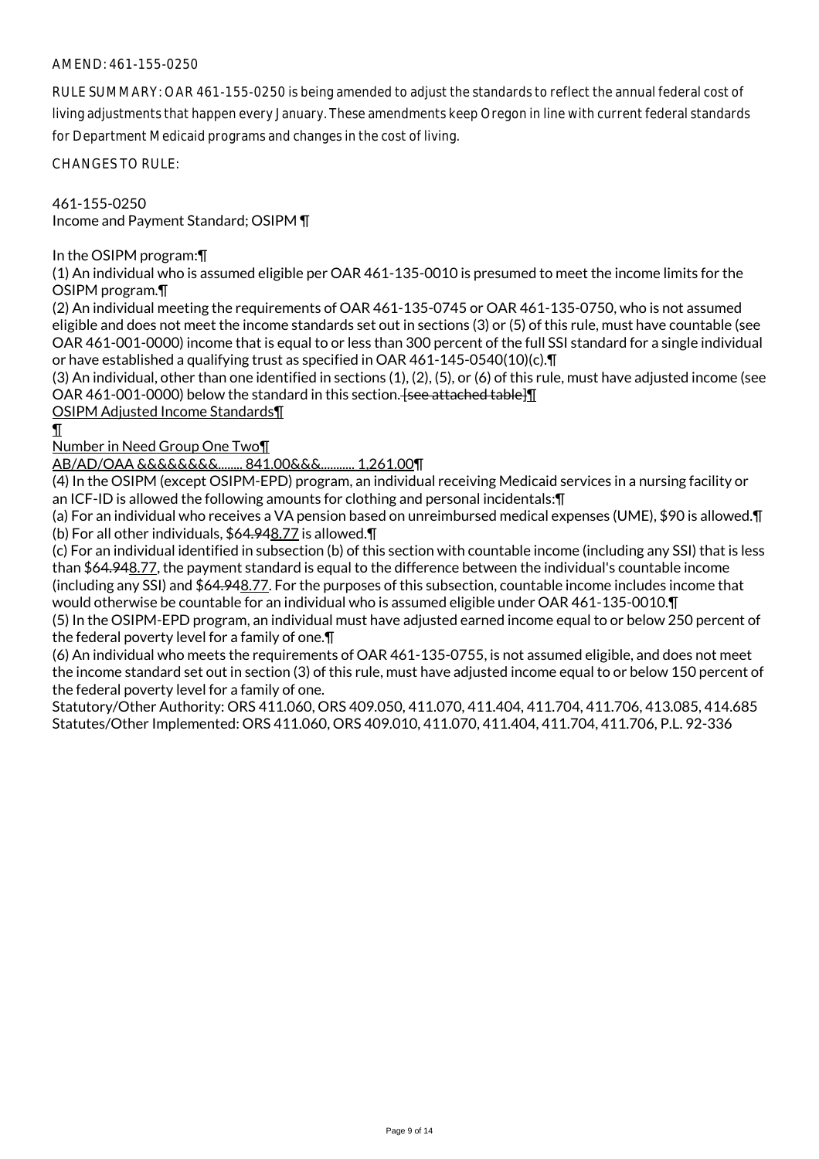# AMEND: 461-155-0250

RULE SUMMARY: OAR 461-155-0250 is being amended to adjust the standards to reflect the annual federal cost of living adjustments that happen every January. These amendments keep Oregon in line with current federal standards for Department Medicaid programs and changes in the cost of living.

CHANGES TO RULE:

461-155-0250 Income and Payment Standard; OSIPM ¶

In the OSIPM program:¶

(1) An individual who is assumed eligible per OAR 461-135-0010 is presumed to meet the income limits for the OSIPM program.¶

(2) An individual meeting the requirements of OAR 461-135-0745 or OAR 461-135-0750, who is not assumed eligible and does not meet the income standards set out in sections (3) or (5) of this rule, must have countable (see OAR 461-001-0000) income that is equal to or less than 300 percent of the full SSI standard for a single individual or have established a qualifying trust as specified in OAR 461-145-0540(10)(c).¶

(3) An individual, other than one identified in sections (1), (2), (5), or (6) of this rule, must have adjusted income (see OAR 461-001-0000) below the standard in this section. [see attached table]

OSIPM Adjusted Income Standards¶

¶

Number in Need Group One Two¶

AB/AD/OAA &&&&&&&&........ 841.00&&&........... 1,261.00¶

(4) In the OSIPM (except OSIPM-EPD) program, an individual receiving Medicaid services in a nursing facility or an ICF-ID is allowed the following amounts for clothing and personal incidentals:¶

(a) For an individual who receives a VA pension based on unreimbursed medical expenses (UME), \$90 is allowed.¶ (b) For all other individuals, \$64.948.77 is allowed.¶

(c) For an individual identified in subsection (b) of this section with countable income (including any SSI) that is less than \$64.948.77, the payment standard is equal to the difference between the individual's countable income (including any SSI) and \$64.948.77. For the purposes of this subsection, countable income includes income that would otherwise be countable for an individual who is assumed eligible under OAR 461-135-0010.¶

(5) In the OSIPM-EPD program, an individual must have adjusted earned income equal to or below 250 percent of the federal poverty level for a family of one.¶

(6) An individual who meets the requirements of OAR 461-135-0755, is not assumed eligible, and does not meet the income standard set out in section (3) of this rule, must have adjusted income equal to or below 150 percent of the federal poverty level for a family of one.

Statutory/Other Authority: ORS 411.060, ORS 409.050, 411.070, 411.404, 411.704, 411.706, 413.085, 414.685 Statutes/Other Implemented: ORS 411.060, ORS 409.010, 411.070, 411.404, 411.704, 411.706, P.L. 92-336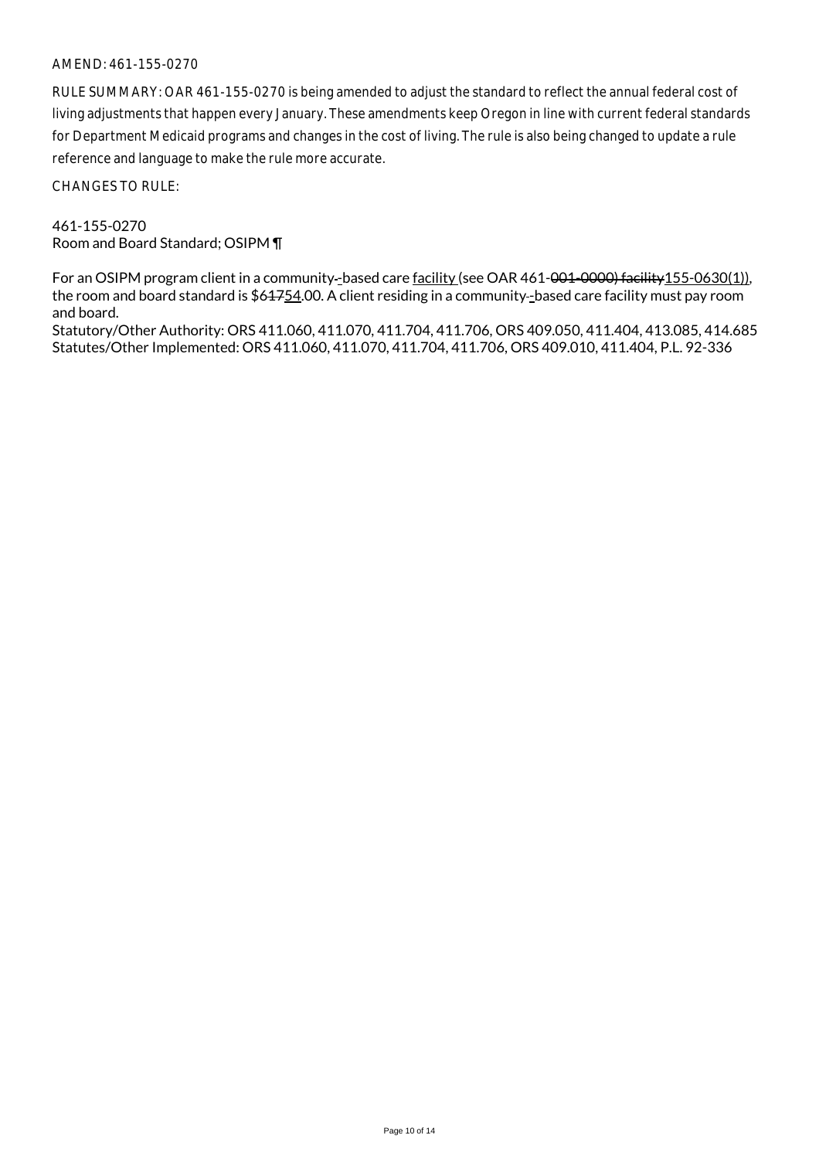### AMEND: 461-155-0270

RULE SUMMARY: OAR 461-155-0270 is being amended to adjust the standard to reflect the annual federal cost of living adjustments that happen every January. These amendments keep Oregon in line with current federal standards for Department Medicaid programs and changes in the cost of living. The rule is also being changed to update a rule reference and language to make the rule more accurate.

CHANGES TO RULE:

461-155-0270 Room and Board Standard; OSIPM ¶

For an OSIPM program client in a community-based care facility (see OAR 461-001-0000) facility 155-0630(1)), the room and board standard is \$61754.00. A client residing in a community-based care facility must pay room and board.

Statutory/Other Authority: ORS 411.060, 411.070, 411.704, 411.706, ORS 409.050, 411.404, 413.085, 414.685 Statutes/Other Implemented: ORS 411.060, 411.070, 411.704, 411.706, ORS 409.010, 411.404, P.L. 92-336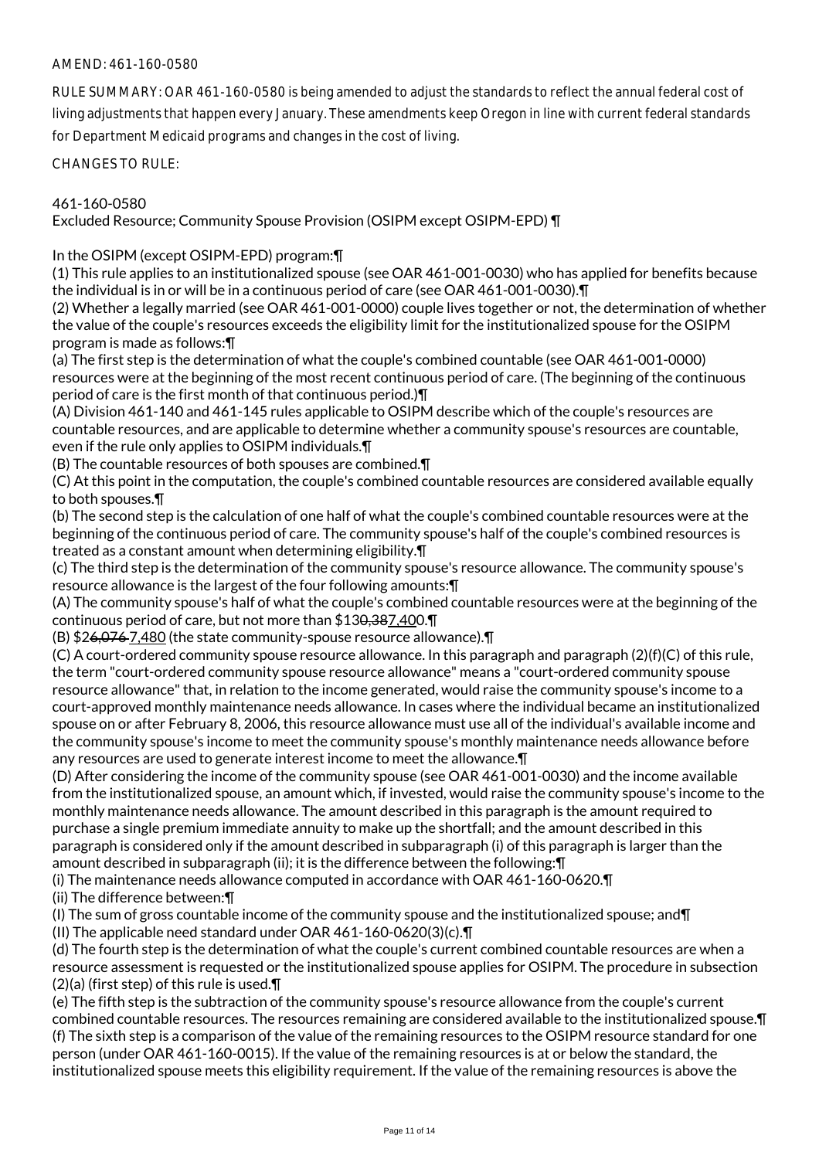# AMEND: 461-160-0580

RULE SUMMARY: OAR 461-160-0580 is being amended to adjust the standards to reflect the annual federal cost of living adjustments that happen every January. These amendments keep Oregon in line with current federal standards for Department Medicaid programs and changes in the cost of living.

CHANGES TO RULE:

# 461-160-0580

Excluded Resource; Community Spouse Provision (OSIPM except OSIPM-EPD) ¶

In the OSIPM (except OSIPM-EPD) program:¶

(1) This rule applies to an institutionalized spouse (see OAR 461-001-0030) who has applied for benefits because the individual is in or will be in a continuous period of care (see OAR 461-001-0030).¶

(2) Whether a legally married (see OAR 461-001-0000) couple lives together or not, the determination of whether the value of the couple's resources exceeds the eligibility limit for the institutionalized spouse for the OSIPM program is made as follows:¶

(a) The first step is the determination of what the couple's combined countable (see OAR 461-001-0000) resources were at the beginning of the most recent continuous period of care. (The beginning of the continuous period of care is the first month of that continuous period.)¶

(A) Division 461-140 and 461-145 rules applicable to OSIPM describe which of the couple's resources are countable resources, and are applicable to determine whether a community spouse's resources are countable, even if the rule only applies to OSIPM individuals.¶

(B) The countable resources of both spouses are combined.¶

(C) At this point in the computation, the couple's combined countable resources are considered available equally to both spouses.¶

(b) The second step is the calculation of one half of what the couple's combined countable resources were at the beginning of the continuous period of care. The community spouse's half of the couple's combined resources is treated as a constant amount when determining eligibility.¶

(c) The third step is the determination of the community spouse's resource allowance. The community spouse's resource allowance is the largest of the four following amounts:¶

(A) The community spouse's half of what the couple's combined countable resources were at the beginning of the continuous period of care, but not more than \$130,387,400.¶

(B) \$26,076 7,480 (the state community-spouse resource allowance).¶

(C) A court-ordered community spouse resource allowance. In this paragraph and paragraph (2)(f)(C) of this rule, the term "court-ordered community spouse resource allowance" means a "court-ordered community spouse resource allowance" that, in relation to the income generated, would raise the community spouse's income to a court-approved monthly maintenance needs allowance. In cases where the individual became an institutionalized spouse on or after February 8, 2006, this resource allowance must use all of the individual's available income and the community spouse's income to meet the community spouse's monthly maintenance needs allowance before any resources are used to generate interest income to meet the allowance.¶

(D) After considering the income of the community spouse (see OAR 461-001-0030) and the income available from the institutionalized spouse, an amount which, if invested, would raise the community spouse's income to the monthly maintenance needs allowance. The amount described in this paragraph is the amount required to purchase a single premium immediate annuity to make up the shortfall; and the amount described in this paragraph is considered only if the amount described in subparagraph (i) of this paragraph is larger than the amount described in subparagraph (ii); it is the difference between the following:¶

(i) The maintenance needs allowance computed in accordance with OAR 461-160-0620.¶

(ii) The difference between:¶

(I) The sum of gross countable income of the community spouse and the institutionalized spouse; and¶ (II) The applicable need standard under OAR 461-160-0620(3)(c).¶

(d) The fourth step is the determination of what the couple's current combined countable resources are when a resource assessment is requested or the institutionalized spouse applies for OSIPM. The procedure in subsection (2)(a) (first step) of this rule is used.¶

(e) The fifth step is the subtraction of the community spouse's resource allowance from the couple's current combined countable resources. The resources remaining are considered available to the institutionalized spouse.¶ (f) The sixth step is a comparison of the value of the remaining resources to the OSIPM resource standard for one person (under OAR 461-160-0015). If the value of the remaining resources is at or below the standard, the institutionalized spouse meets this eligibility requirement. If the value of the remaining resources is above the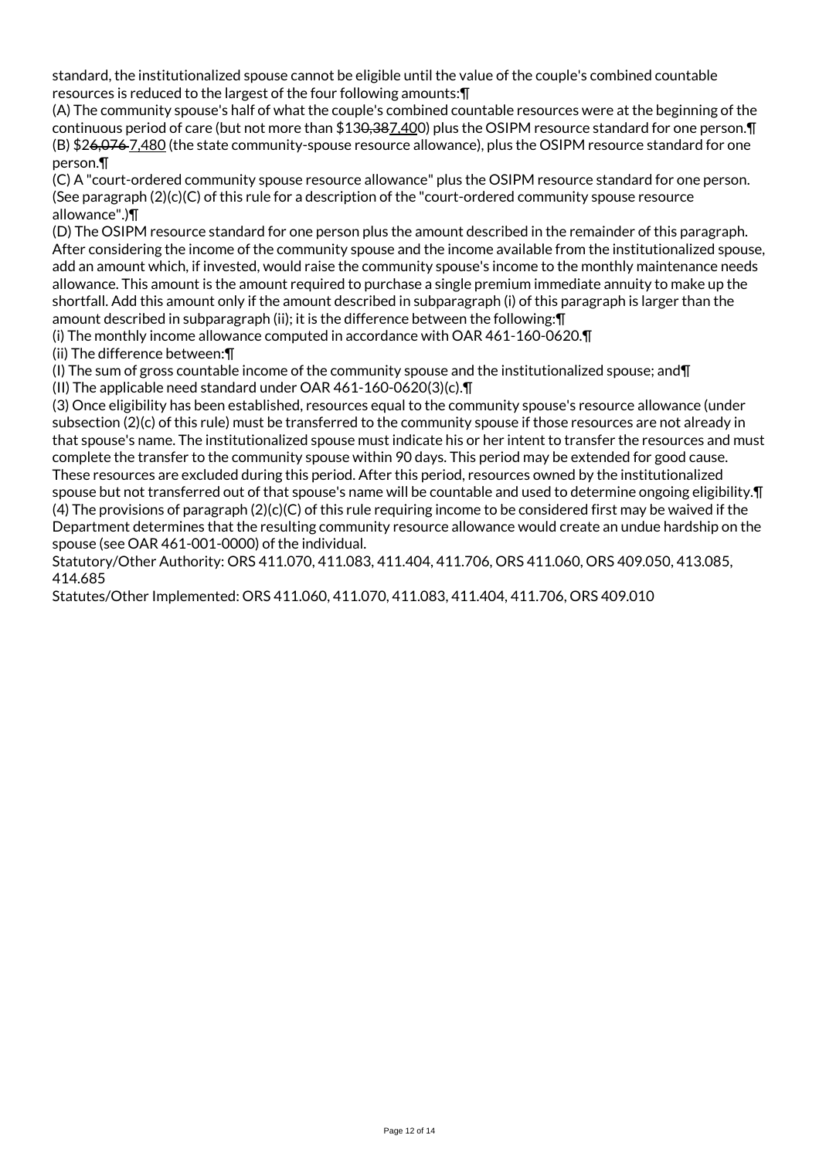standard, the institutionalized spouse cannot be eligible until the value of the couple's combined countable resources is reduced to the largest of the four following amounts:¶

(A) The community spouse's half of what the couple's combined countable resources were at the beginning of the continuous period of care (but not more than \$130,387,400) plus the OSIPM resource standard for one person. [1 (B) \$26,076 7,480 (the state community-spouse resource allowance), plus the OSIPM resource standard for one person.¶

(C) A "court-ordered community spouse resource allowance" plus the OSIPM resource standard for one person. (See paragraph  $(2)(c)(C)$  of this rule for a description of the "court-ordered community spouse resource allowance".)¶

(D) The OSIPM resource standard for one person plus the amount described in the remainder of this paragraph. After considering the income of the community spouse and the income available from the institutionalized spouse, add an amount which, if invested, would raise the community spouse's income to the monthly maintenance needs allowance. This amount is the amount required to purchase a single premium immediate annuity to make up the shortfall. Add this amount only if the amount described in subparagraph (i) of this paragraph is larger than the amount described in subparagraph (ii); it is the difference between the following:¶

(i) The monthly income allowance computed in accordance with OAR 461-160-0620.¶ (ii) The difference between:¶

(I) The sum of gross countable income of the community spouse and the institutionalized spouse; and¶

(II) The applicable need standard under OAR 461-160-0620(3)(c).¶

(3) Once eligibility has been established, resources equal to the community spouse's resource allowance (under subsection (2)(c) of this rule) must be transferred to the community spouse if those resources are not already in that spouse's name. The institutionalized spouse must indicate his or her intent to transfer the resources and must complete the transfer to the community spouse within 90 days. This period may be extended for good cause. These resources are excluded during this period. After this period, resources owned by the institutionalized spouse but not transferred out of that spouse's name will be countable and used to determine ongoing eligibility.¶ (4) The provisions of paragraph (2)(c)(C) of this rule requiring income to be considered first may be waived if the Department determines that the resulting community resource allowance would create an undue hardship on the spouse (see OAR 461-001-0000) of the individual.

Statutory/Other Authority: ORS 411.070, 411.083, 411.404, 411.706, ORS 411.060, ORS 409.050, 413.085, 414.685

Statutes/Other Implemented: ORS 411.060, 411.070, 411.083, 411.404, 411.706, ORS 409.010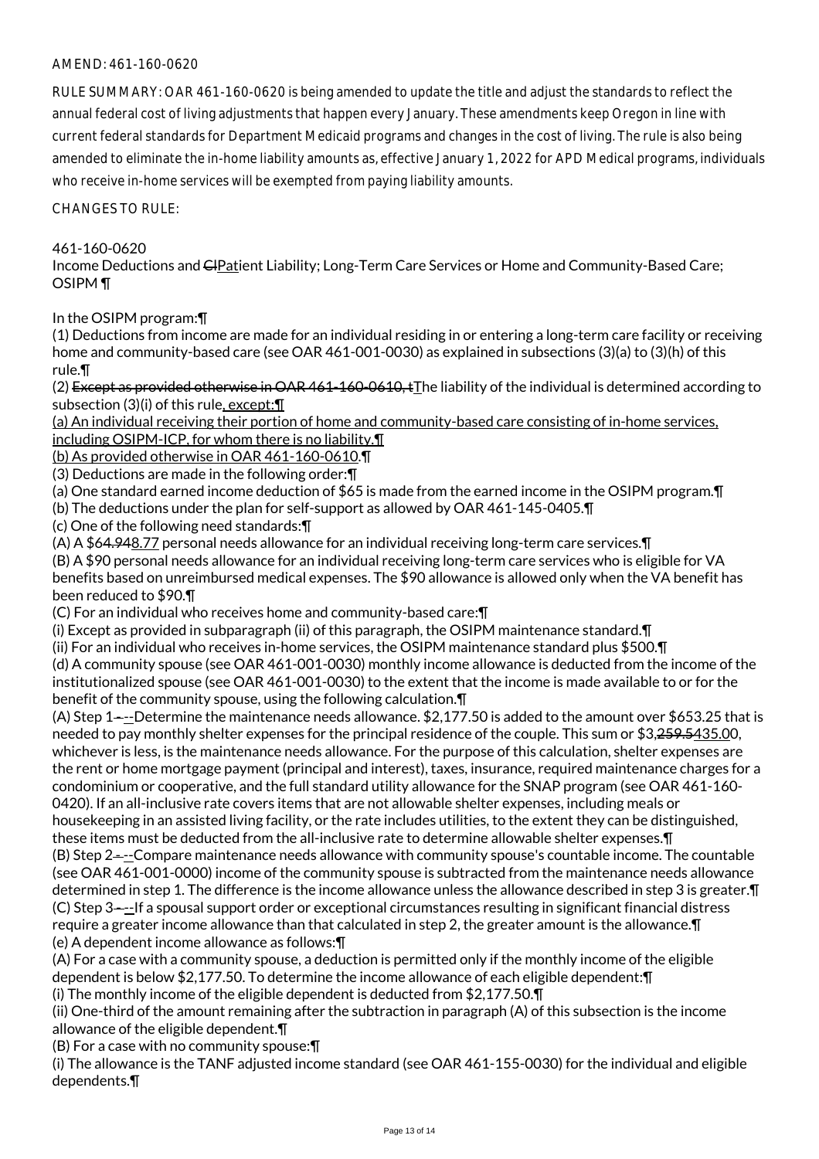# AMEND: 461-160-0620

RULE SUMMARY: OAR 461-160-0620 is being amended to update the title and adjust the standards to reflect the annual federal cost of living adjustments that happen every January. These amendments keep Oregon in line with current federal standards for Department Medicaid programs and changes in the cost of living. The rule is also being amended to eliminate the in-home liability amounts as, effective January 1, 2022 for APD Medical programs, individuals who receive in-home services will be exempted from paying liability amounts.

CHANGES TO RULE:

# 461-160-0620

Income Deductions and CIPatient Liability; Long-Term Care Services or Home and Community-Based Care; OSIPM ¶

In the OSIPM program:¶

(1) Deductions from income are made for an individual residing in or entering a long-term care facility or receiving home and community-based care (see OAR 461-001-0030) as explained in subsections (3)(a) to (3)(h) of this rule.¶

(2) Except as provided otherwise in OAR 461-160-0610, tThe liability of the individual is determined according to subsection (3)(i) of this rule, except:¶

(a) An individual receiving their portion of home and community-based care consisting of in-home services, including OSIPM-ICP, for whom there is no liability.¶

(b) As provided otherwise in OAR 461-160-0610.¶

(3) Deductions are made in the following order:¶

(a) One standard earned income deduction of \$65 is made from the earned income in the OSIPM program.¶

(b) The deductions under the plan for self-support as allowed by OAR 461-145-0405.¶

(c) One of the following need standards:¶

(A) A \$64.948.77 personal needs allowance for an individual receiving long-term care services.¶

(B) A \$90 personal needs allowance for an individual receiving long-term care services who is eligible for VA benefits based on unreimbursed medical expenses. The \$90 allowance is allowed only when the VA benefit has been reduced to \$90.¶

(C) For an individual who receives home and community-based care:¶

(i) Except as provided in subparagraph (ii) of this paragraph, the OSIPM maintenance standard.¶

(ii) For an individual who receives in-home services, the OSIPM maintenance standard plus \$500.¶

(d) A community spouse (see OAR 461-001-0030) monthly income allowance is deducted from the income of the institutionalized spouse (see OAR 461-001-0030) to the extent that the income is made available to or for the benefit of the community spouse, using the following calculation.¶

(A) Step 1 $-$ -Determine the maintenance needs allowance. \$2,177.50 is added to the amount over \$653.25 that is needed to pay monthly shelter expenses for the principal residence of the couple. This sum or \$3,259.5435.00, whichever is less, is the maintenance needs allowance. For the purpose of this calculation, shelter expenses are the rent or home mortgage payment (principal and interest), taxes, insurance, required maintenance charges for a condominium or cooperative, and the full standard utility allowance for the SNAP program (see OAR 461-160- 0420). If an all-inclusive rate covers items that are not allowable shelter expenses, including meals or housekeeping in an assisted living facility, or the rate includes utilities, to the extent they can be distinguished, these items must be deducted from the all-inclusive rate to determine allowable shelter expenses.¶ (B) Step 2 - --Compare maintenance needs allowance with community spouse's countable income. The countable (see OAR 461-001-0000) income of the community spouse is subtracted from the maintenance needs allowance determined in step 1. The difference is the income allowance unless the allowance described in step 3 is greater.¶ (C) Step 3 - --If a spousal support order or exceptional circumstances resulting in significant financial distress require a greater income allowance than that calculated in step 2, the greater amount is the allowance.¶ (e) A dependent income allowance as follows:¶

(A) For a case with a community spouse, a deduction is permitted only if the monthly income of the eligible dependent is below \$2,177.50. To determine the income allowance of each eligible dependent:¶

(i) The monthly income of the eligible dependent is deducted from \$2,177.50.¶

(ii) One-third of the amount remaining after the subtraction in paragraph (A) of this subsection is the income allowance of the eligible dependent.¶

(B) For a case with no community spouse:¶

(i) The allowance is the TANF adjusted income standard (see OAR 461-155-0030) for the individual and eligible dependents.¶